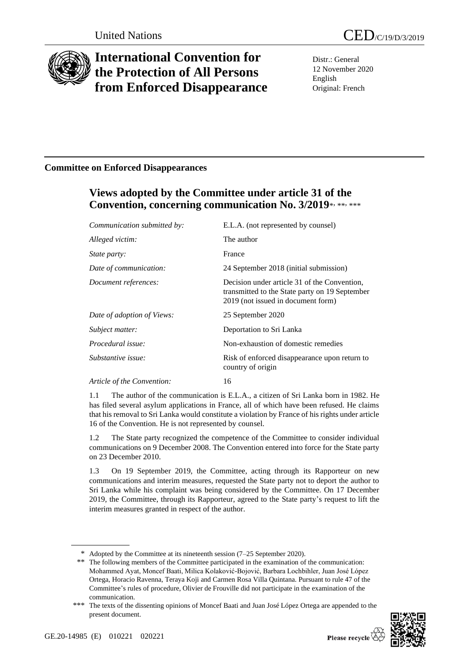

# **International Convention for the Protection of All Persons from Enforced Disappearance**

Distr.: General 12 November 2020 English Original: French

## **Committee on Enforced Disappearances**

## **Views adopted by the Committee under article 31 of the**  Convention, concerning communication No. 3/2019\*, \*\*, \*\*\*

| Communication submitted by: | E.L.A. (not represented by counsel)                                                                                                  |
|-----------------------------|--------------------------------------------------------------------------------------------------------------------------------------|
| Alleged victim:             | The author                                                                                                                           |
| <i>State party:</i>         | France                                                                                                                               |
| Date of communication:      | 24 September 2018 (initial submission)                                                                                               |
| Document references:        | Decision under article 31 of the Convention,<br>transmitted to the State party on 19 September<br>2019 (not issued in document form) |
| Date of adoption of Views:  | 25 September 2020                                                                                                                    |
| Subject matter:             | Deportation to Sri Lanka                                                                                                             |
| Procedural issue:           | Non-exhaustion of domestic remedies                                                                                                  |
| Substantive issue:          | Risk of enforced disappearance upon return to<br>country of origin                                                                   |
| Article of the Convention:  | 16                                                                                                                                   |

1.1 The author of the communication is E.L.A., a citizen of Sri Lanka born in 1982. He has filed several asylum applications in France, all of which have been refused. He claims that his removal to Sri Lanka would constitute a violation by France of his rights under article 16 of the Convention. He is not represented by counsel.

1.2 The State party recognized the competence of the Committee to consider individual communications on 9 December 2008. The Convention entered into force for the State party on 23 December 2010.

1.3 On 19 September 2019, the Committee, acting through its Rapporteur on new communications and interim measures, requested the State party not to deport the author to Sri Lanka while his complaint was being considered by the Committee. On 17 December 2019, the Committee, through its Rapporteur, agreed to the State party's request to lift the interim measures granted in respect of the author.

<sup>\*\*\*</sup> The texts of the dissenting opinions of Moncef Baati and Juan José López Ortega are appended to the present document.



<sup>\*</sup> Adopted by the Committee at its nineteenth session (7–25 September 2020).

<sup>\*\*</sup> The following members of the Committee participated in the examination of the communication: Mohammed Ayat, Moncef Baati, Milica Kolaković-Bojović, Barbara Lochbihler, Juan José López Ortega, Horacio Ravenna, Teraya Koji and Carmen Rosa Villa Quintana. Pursuant to rule 47 of the Committee's rules of procedure, Olivier de Frouville did not participate in the examination of the communication.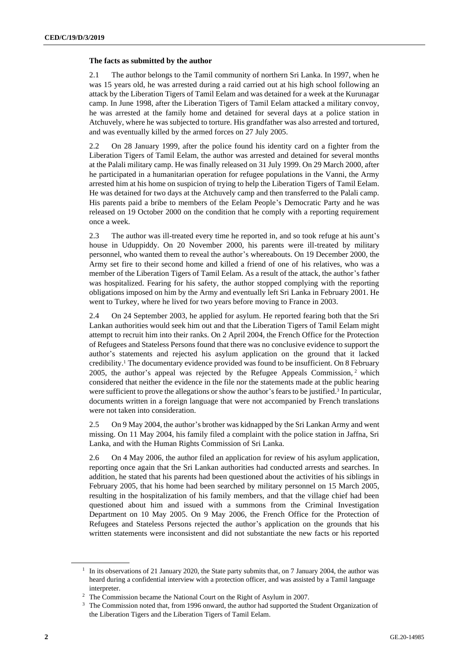#### **The facts as submitted by the author**

2.1 The author belongs to the Tamil community of northern Sri Lanka. In 1997, when he was 15 years old, he was arrested during a raid carried out at his high school following an attack by the Liberation Tigers of Tamil Eelam and was detained for a week at the Kurunagar camp. In June 1998, after the Liberation Tigers of Tamil Eelam attacked a military convoy, he was arrested at the family home and detained for several days at a police station in Atchuvely, where he was subjected to torture. His grandfather was also arrested and tortured, and was eventually killed by the armed forces on 27 July 2005.

2.2 On 28 January 1999, after the police found his identity card on a fighter from the Liberation Tigers of Tamil Eelam, the author was arrested and detained for several months at the Palali military camp. He was finally released on 31 July 1999. On 29 March 2000, after he participated in a humanitarian operation for refugee populations in the Vanni, the Army arrested him at his home on suspicion of trying to help the Liberation Tigers of Tamil Eelam. He was detained for two days at the Atchuvely camp and then transferred to the Palali camp. His parents paid a bribe to members of the Eelam People's Democratic Party and he was released on 19 October 2000 on the condition that he comply with a reporting requirement once a week.

2.3 The author was ill-treated every time he reported in, and so took refuge at his aunt's house in Uduppiddy. On 20 November 2000, his parents were ill-treated by military personnel, who wanted them to reveal the author's whereabouts. On 19 December 2000, the Army set fire to their second home and killed a friend of one of his relatives, who was a member of the Liberation Tigers of Tamil Eelam. As a result of the attack, the author's father was hospitalized. Fearing for his safety, the author stopped complying with the reporting obligations imposed on him by the Army and eventually left Sri Lanka in February 2001. He went to Turkey, where he lived for two years before moving to France in 2003.

2.4 On 24 September 2003, he applied for asylum. He reported fearing both that the Sri Lankan authorities would seek him out and that the Liberation Tigers of Tamil Eelam might attempt to recruit him into their ranks. On 2 April 2004, the French Office for the Protection of Refugees and Stateless Persons found that there was no conclusive evidence to support the author's statements and rejected his asylum application on the ground that it lacked credibility.<sup>1</sup> The documentary evidence provided was found to be insufficient. On 8 February 2005, the author's appeal was rejected by the Refugee Appeals Commission, <sup>2</sup> which considered that neither the evidence in the file nor the statements made at the public hearing were sufficient to prove the allegations or show the author's fears to be justified.<sup>3</sup> In particular, documents written in a foreign language that were not accompanied by French translations were not taken into consideration.

2.5 On 9 May 2004, the author's brother was kidnapped by the Sri Lankan Army and went missing. On 11 May 2004, his family filed a complaint with the police station in Jaffna, Sri Lanka, and with the Human Rights Commission of Sri Lanka.

2.6 On 4 May 2006, the author filed an application for review of his asylum application, reporting once again that the Sri Lankan authorities had conducted arrests and searches. In addition, he stated that his parents had been questioned about the activities of his siblings in February 2005, that his home had been searched by military personnel on 15 March 2005, resulting in the hospitalization of his family members, and that the village chief had been questioned about him and issued with a summons from the Criminal Investigation Department on 10 May 2005. On 9 May 2006, the French Office for the Protection of Refugees and Stateless Persons rejected the author's application on the grounds that his written statements were inconsistent and did not substantiate the new facts or his reported

<sup>&</sup>lt;sup>1</sup> In its observations of 21 January 2020, the State party submits that, on 7 January 2004, the author was heard during a confidential interview with a protection officer, and was assisted by a Tamil language interpreter.

<sup>2</sup> The Commission became the National Court on the Right of Asylum in 2007.

<sup>&</sup>lt;sup>3</sup> The Commission noted that, from 1996 onward, the author had supported the Student Organization of the Liberation Tigers and the Liberation Tigers of Tamil Eelam.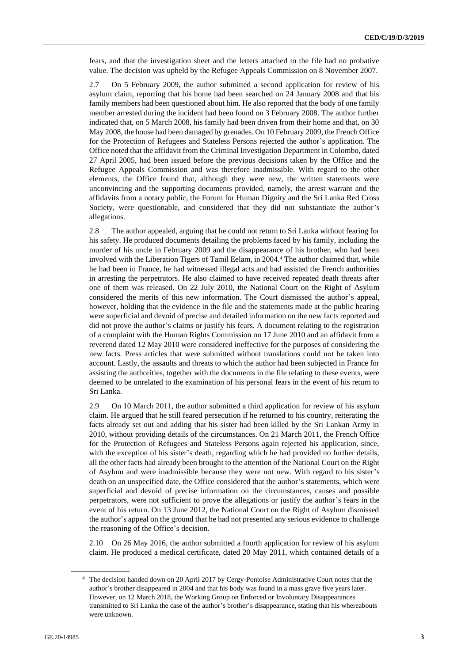fears, and that the investigation sheet and the letters attached to the file had no probative value. The decision was upheld by the Refugee Appeals Commission on 8 November 2007.

2.7 On 5 February 2009, the author submitted a second application for review of his asylum claim, reporting that his home had been searched on 24 January 2008 and that his family members had been questioned about him. He also reported that the body of one family member arrested during the incident had been found on 3 February 2008. The author further indicated that, on 5 March 2008, his family had been driven from their home and that, on 30 May 2008, the house had been damaged by grenades. On 10 February 2009, the French Office for the Protection of Refugees and Stateless Persons rejected the author's application. The Office noted that the affidavit from the Criminal Investigation Department in Colombo, dated 27 April 2005, had been issued before the previous decisions taken by the Office and the Refugee Appeals Commission and was therefore inadmissible. With regard to the other elements, the Office found that, although they were new, the written statements were unconvincing and the supporting documents provided, namely, the arrest warrant and the affidavits from a notary public, the Forum for Human Dignity and the Sri Lanka Red Cross Society, were questionable, and considered that they did not substantiate the author's allegations.

2.8 The author appealed, arguing that he could not return to Sri Lanka without fearing for his safety. He produced documents detailing the problems faced by his family, including the murder of his uncle in February 2009 and the disappearance of his brother, who had been involved with the Liberation Tigers of Tamil Eelam, in 2004.<sup>4</sup> The author claimed that, while he had been in France, he had witnessed illegal acts and had assisted the French authorities in arresting the perpetrators. He also claimed to have received repeated death threats after one of them was released. On 22 July 2010, the National Court on the Right of Asylum considered the merits of this new information. The Court dismissed the author's appeal, however, holding that the evidence in the file and the statements made at the public hearing were superficial and devoid of precise and detailed information on the new facts reported and did not prove the author's claims or justify his fears. A document relating to the registration of a complaint with the Human Rights Commission on 17 June 2010 and an affidavit from a reverend dated 12 May 2010 were considered ineffective for the purposes of considering the new facts. Press articles that were submitted without translations could not be taken into account. Lastly, the assaults and threats to which the author had been subjected in France for assisting the authorities, together with the documents in the file relating to these events, were deemed to be unrelated to the examination of his personal fears in the event of his return to Sri Lanka.

2.9 On 10 March 2011, the author submitted a third application for review of his asylum claim. He argued that he still feared persecution if he returned to his country, reiterating the facts already set out and adding that his sister had been killed by the Sri Lankan Army in 2010, without providing details of the circumstances. On 21 March 2011, the French Office for the Protection of Refugees and Stateless Persons again rejected his application, since, with the exception of his sister's death, regarding which he had provided no further details, all the other facts had already been brought to the attention of the National Court on the Right of Asylum and were inadmissible because they were not new. With regard to his sister's death on an unspecified date, the Office considered that the author's statements, which were superficial and devoid of precise information on the circumstances, causes and possible perpetrators, were not sufficient to prove the allegations or justify the author's fears in the event of his return. On 13 June 2012, the National Court on the Right of Asylum dismissed the author's appeal on the ground that he had not presented any serious evidence to challenge the reasoning of the Office's decision.

2.10 On 26 May 2016, the author submitted a fourth application for review of his asylum claim. He produced a medical certificate, dated 20 May 2011, which contained details of a

<sup>4</sup> The decision handed down on 20 April 2017 by Cergy-Pontoise Administrative Court notes that the author's brother disappeared in 2004 and that his body was found in a mass grave five years later. However, on 12 March 2018, the Working Group on Enforced or Involuntary Disappearances transmitted to Sri Lanka the case of the author's brother's disappearance, stating that his whereabouts were unknown.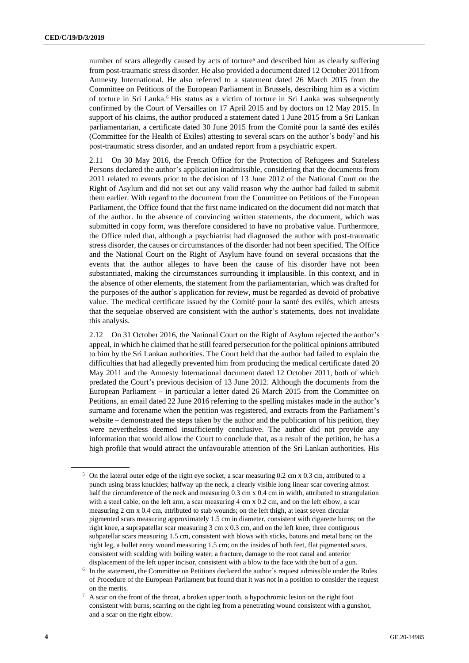number of scars allegedly caused by acts of torture<sup>5</sup> and described him as clearly suffering from post-traumatic stress disorder. He also provided a document dated 12 October 2011from Amnesty International. He also referred to a statement dated 26 March 2015 from the Committee on Petitions of the European Parliament in Brussels, describing him as a victim of torture in Sri Lanka.<sup>6</sup> His status as a victim of torture in Sri Lanka was subsequently confirmed by the Court of Versailles on 17 April 2015 and by doctors on 12 May 2015. In support of his claims, the author produced a statement dated 1 June 2015 from a Sri Lankan parliamentarian, a certificate dated 30 June 2015 from the Comité pour la santé des exilés (Committee for the Health of Exiles) attesting to several scars on the author's body<sup>7</sup> and his post-traumatic stress disorder, and an undated report from a psychiatric expert.

2.11 On 30 May 2016, the French Office for the Protection of Refugees and Stateless Persons declared the author's application inadmissible, considering that the documents from 2011 related to events prior to the decision of 13 June 2012 of the National Court on the Right of Asylum and did not set out any valid reason why the author had failed to submit them earlier. With regard to the document from the Committee on Petitions of the European Parliament, the Office found that the first name indicated on the document did not match that of the author. In the absence of convincing written statements, the document, which was submitted in copy form, was therefore considered to have no probative value. Furthermore, the Office ruled that, although a psychiatrist had diagnosed the author with post-traumatic stress disorder, the causes or circumstances of the disorder had not been specified. The Office and the National Court on the Right of Asylum have found on several occasions that the events that the author alleges to have been the cause of his disorder have not been substantiated, making the circumstances surrounding it implausible. In this context, and in the absence of other elements, the statement from the parliamentarian, which was drafted for the purposes of the author's application for review, must be regarded as devoid of probative value. The medical certificate issued by the Comité pour la santé des exilés, which attests that the sequelae observed are consistent with the author's statements, does not invalidate this analysis.

2.12 On 31 October 2016, the National Court on the Right of Asylum rejected the author's appeal, in which he claimed that he still feared persecution for the political opinions attributed to him by the Sri Lankan authorities. The Court held that the author had failed to explain the difficulties that had allegedly prevented him from producing the medical certificate dated 20 May 2011 and the Amnesty International document dated 12 October 2011, both of which predated the Court's previous decision of 13 June 2012. Although the documents from the European Parliament – in particular a letter dated 26 March 2015 from the Committee on Petitions, an email dated 22 June 2016 referring to the spelling mistakes made in the author's surname and forename when the petition was registered, and extracts from the Parliament's website – demonstrated the steps taken by the author and the publication of his petition, they were nevertheless deemed insufficiently conclusive. The author did not provide any information that would allow the Court to conclude that, as a result of the petition, he has a high profile that would attract the unfavourable attention of the Sri Lankan authorities. His

<sup>5</sup> On the lateral outer edge of the right eye socket, a scar measuring 0.2 cm x 0.3 cm, attributed to a punch using brass knuckles; halfway up the neck, a clearly visible long linear scar covering almost half the circumference of the neck and measuring 0.3 cm x 0.4 cm in width, attributed to strangulation with a steel cable; on the left arm, a scar measuring 4 cm x 0.2 cm, and on the left elbow, a scar measuring 2 cm x 0.4 cm, attributed to stab wounds; on the left thigh, at least seven circular pigmented scars measuring approximately 1.5 cm in diameter, consistent with cigarette burns; on the right knee, a suprapatellar scar measuring 3 cm x 0.3 cm, and on the left knee, three contiguous subpatellar scars measuring 1.5 cm, consistent with blows with sticks, batons and metal bars; on the right leg, a bullet entry wound measuring 1.5 cm; on the insides of both feet, flat pigmented scars, consistent with scalding with boiling water; a fracture, damage to the root canal and anterior displacement of the left upper incisor, consistent with a blow to the face with the butt of a gun.

<sup>&</sup>lt;sup>6</sup> In the statement, the Committee on Petitions declared the author's request admissible under the Rules of Procedure of the European Parliament but found that it was not in a position to consider the request on the merits.

 $7 A$  scar on the front of the throat, a broken upper tooth, a hypochromic lesion on the right foot consistent with burns, scarring on the right leg from a penetrating wound consistent with a gunshot, and a scar on the right elbow.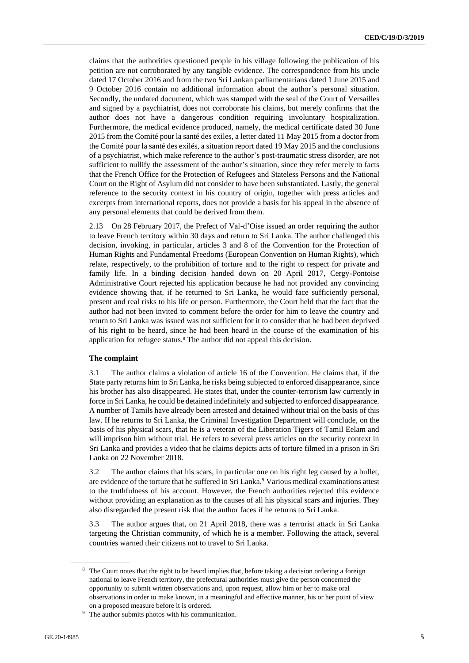claims that the authorities questioned people in his village following the publication of his petition are not corroborated by any tangible evidence. The correspondence from his uncle dated 17 October 2016 and from the two Sri Lankan parliamentarians dated 1 June 2015 and 9 October 2016 contain no additional information about the author's personal situation. Secondly, the undated document, which was stamped with the seal of the Court of Versailles and signed by a psychiatrist, does not corroborate his claims, but merely confirms that the author does not have a dangerous condition requiring involuntary hospitalization. Furthermore, the medical evidence produced, namely, the medical certificate dated 30 June 2015 from the Comité pour la santé des exiles, a letter dated 11 May 2015 from a doctor from the Comité pour la santé des exilés, a situation report dated 19 May 2015 and the conclusions of a psychiatrist, which make reference to the author's post-traumatic stress disorder, are not sufficient to nullify the assessment of the author's situation, since they refer merely to facts that the French Office for the Protection of Refugees and Stateless Persons and the National Court on the Right of Asylum did not consider to have been substantiated. Lastly, the general reference to the security context in his country of origin, together with press articles and excerpts from international reports, does not provide a basis for his appeal in the absence of any personal elements that could be derived from them.

2.13 On 28 February 2017, the Prefect of Val-d'Oise issued an order requiring the author to leave French territory within 30 days and return to Sri Lanka. The author challenged this decision, invoking, in particular, articles 3 and 8 of the Convention for the Protection of Human Rights and Fundamental Freedoms (European Convention on Human Rights), which relate, respectively, to the prohibition of torture and to the right to respect for private and family life. In a binding decision handed down on 20 April 2017, Cergy-Pontoise Administrative Court rejected his application because he had not provided any convincing evidence showing that, if he returned to Sri Lanka, he would face sufficiently personal, present and real risks to his life or person. Furthermore, the Court held that the fact that the author had not been invited to comment before the order for him to leave the country and return to Sri Lanka was issued was not sufficient for it to consider that he had been deprived of his right to be heard, since he had been heard in the course of the examination of his application for refugee status.<sup>8</sup> The author did not appeal this decision.

#### **The complaint**

3.1 The author claims a violation of article 16 of the Convention. He claims that, if the State party returns him to Sri Lanka, he risks being subjected to enforced disappearance, since his brother has also disappeared. He states that, under the counter-terrorism law currently in force in Sri Lanka, he could be detained indefinitely and subjected to enforced disappearance. A number of Tamils have already been arrested and detained without trial on the basis of this law. If he returns to Sri Lanka, the Criminal Investigation Department will conclude, on the basis of his physical scars, that he is a veteran of the Liberation Tigers of Tamil Eelam and will imprison him without trial. He refers to several press articles on the security context in Sri Lanka and provides a video that he claims depicts acts of torture filmed in a prison in Sri Lanka on 22 November 2018.

3.2 The author claims that his scars, in particular one on his right leg caused by a bullet, are evidence of the torture that he suffered in Sri Lanka.<sup>9</sup> Various medical examinations attest to the truthfulness of his account. However, the French authorities rejected this evidence without providing an explanation as to the causes of all his physical scars and injuries. They also disregarded the present risk that the author faces if he returns to Sri Lanka.

3.3 The author argues that, on 21 April 2018, there was a terrorist attack in Sri Lanka targeting the Christian community, of which he is a member. Following the attack, several countries warned their citizens not to travel to Sri Lanka.

<sup>&</sup>lt;sup>8</sup> The Court notes that the right to be heard implies that, before taking a decision ordering a foreign national to leave French territory, the prefectural authorities must give the person concerned the opportunity to submit written observations and, upon request, allow him or her to make oral observations in order to make known, in a meaningful and effective manner, his or her point of view on a proposed measure before it is ordered.

<sup>&</sup>lt;sup>9</sup> The author submits photos with his communication.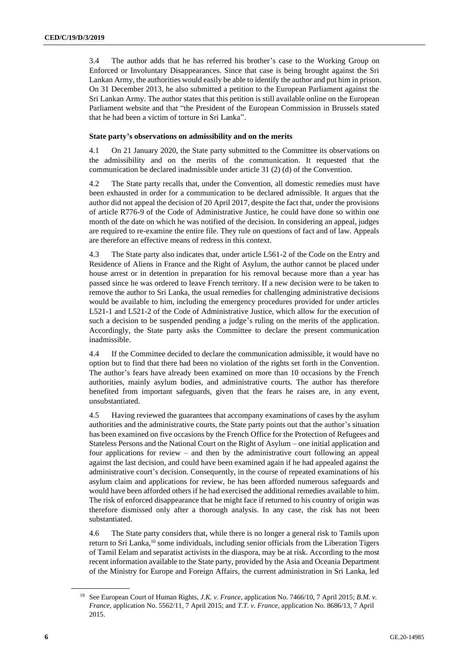3.4 The author adds that he has referred his brother's case to the Working Group on Enforced or Involuntary Disappearances. Since that case is being brought against the Sri Lankan Army, the authorities would easily be able to identify the author and put him in prison. On 31 December 2013, he also submitted a petition to the European Parliament against the Sri Lankan Army. The author states that this petition is still available online on the European Parliament website and that "the President of the European Commission in Brussels stated that he had been a victim of torture in Sri Lanka".

#### **State party's observations on admissibility and on the merits**

4.1 On 21 January 2020, the State party submitted to the Committee its observations on the admissibility and on the merits of the communication. It requested that the communication be declared inadmissible under article 31 (2) (d) of the Convention.

4.2 The State party recalls that, under the Convention, all domestic remedies must have been exhausted in order for a communication to be declared admissible. It argues that the author did not appeal the decision of 20 April 2017, despite the fact that, under the provisions of article R776-9 of the Code of Administrative Justice, he could have done so within one month of the date on which he was notified of the decision. In considering an appeal, judges are required to re-examine the entire file. They rule on questions of fact and of law. Appeals are therefore an effective means of redress in this context.

4.3 The State party also indicates that, under article L561-2 of the Code on the Entry and Residence of Aliens in France and the Right of Asylum, the author cannot be placed under house arrest or in detention in preparation for his removal because more than a year has passed since he was ordered to leave French territory. If a new decision were to be taken to remove the author to Sri Lanka, the usual remedies for challenging administrative decisions would be available to him, including the emergency procedures provided for under articles L521-1 and L521-2 of the Code of Administrative Justice, which allow for the execution of such a decision to be suspended pending a judge's ruling on the merits of the application. Accordingly, the State party asks the Committee to declare the present communication inadmissible.

4.4 If the Committee decided to declare the communication admissible, it would have no option but to find that there had been no violation of the rights set forth in the Convention. The author's fears have already been examined on more than 10 occasions by the French authorities, mainly asylum bodies, and administrative courts. The author has therefore benefited from important safeguards, given that the fears he raises are, in any event, unsubstantiated.

4.5 Having reviewed the guarantees that accompany examinations of cases by the asylum authorities and the administrative courts, the State party points out that the author's situation has been examined on five occasions by the French Office for the Protection of Refugees and Stateless Persons and the National Court on the Right of Asylum – one initial application and four applications for review – and then by the administrative court following an appeal against the last decision, and could have been examined again if he had appealed against the administrative court's decision. Consequently, in the course of repeated examinations of his asylum claim and applications for review, he has been afforded numerous safeguards and would have been afforded others if he had exercised the additional remedies available to him. The risk of enforced disappearance that he might face if returned to his country of origin was therefore dismissed only after a thorough analysis. In any case, the risk has not been substantiated.

4.6 The State party considers that, while there is no longer a general risk to Tamils upon return to Sri Lanka,<sup>10</sup> some individuals, including senior officials from the Liberation Tigers of Tamil Eelam and separatist activists in the diaspora, may be at risk. According to the most recent information available to the State party, provided by the Asia and Oceania Department of the Ministry for Europe and Foreign Affairs, the current administration in Sri Lanka, led

<sup>10</sup> See European Court of Human Rights, *J.K. v. France*, application No. 7466/10, 7 April 2015; *B.M. v. France*, application No. 5562/11, 7 April 2015; and *T.T. v. France*, application No. 8686/13, 7 April 2015.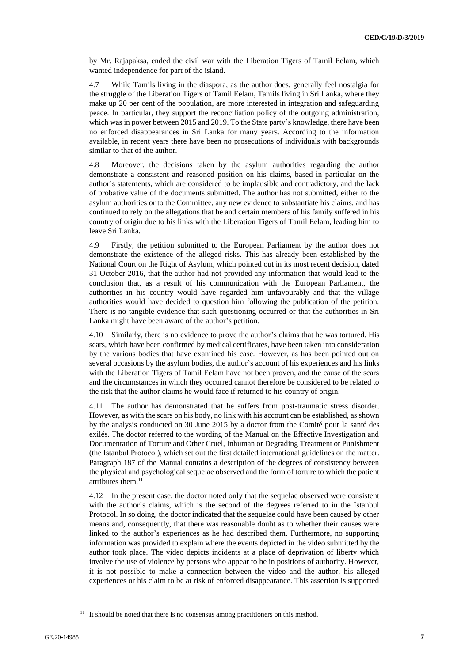by Mr. Rajapaksa, ended the civil war with the Liberation Tigers of Tamil Eelam, which wanted independence for part of the island.

4.7 While Tamils living in the diaspora, as the author does, generally feel nostalgia for the struggle of the Liberation Tigers of Tamil Eelam, Tamils living in Sri Lanka, where they make up 20 per cent of the population, are more interested in integration and safeguarding peace. In particular, they support the reconciliation policy of the outgoing administration, which was in power between 2015 and 2019. To the State party's knowledge, there have been no enforced disappearances in Sri Lanka for many years. According to the information available, in recent years there have been no prosecutions of individuals with backgrounds similar to that of the author.

4.8 Moreover, the decisions taken by the asylum authorities regarding the author demonstrate a consistent and reasoned position on his claims, based in particular on the author's statements, which are considered to be implausible and contradictory, and the lack of probative value of the documents submitted. The author has not submitted, either to the asylum authorities or to the Committee, any new evidence to substantiate his claims, and has continued to rely on the allegations that he and certain members of his family suffered in his country of origin due to his links with the Liberation Tigers of Tamil Eelam, leading him to leave Sri Lanka.

4.9 Firstly, the petition submitted to the European Parliament by the author does not demonstrate the existence of the alleged risks. This has already been established by the National Court on the Right of Asylum, which pointed out in its most recent decision, dated 31 October 2016, that the author had not provided any information that would lead to the conclusion that, as a result of his communication with the European Parliament, the authorities in his country would have regarded him unfavourably and that the village authorities would have decided to question him following the publication of the petition. There is no tangible evidence that such questioning occurred or that the authorities in Sri Lanka might have been aware of the author's petition.

4.10 Similarly, there is no evidence to prove the author's claims that he was tortured. His scars, which have been confirmed by medical certificates, have been taken into consideration by the various bodies that have examined his case. However, as has been pointed out on several occasions by the asylum bodies, the author's account of his experiences and his links with the Liberation Tigers of Tamil Eelam have not been proven, and the cause of the scars and the circumstances in which they occurred cannot therefore be considered to be related to the risk that the author claims he would face if returned to his country of origin.

4.11 The author has demonstrated that he suffers from post-traumatic stress disorder. However, as with the scars on his body, no link with his account can be established, as shown by the analysis conducted on 30 June 2015 by a doctor from the Comité pour la santé des exilés. The doctor referred to the wording of the Manual on the Effective Investigation and Documentation of Torture and Other Cruel, Inhuman or Degrading Treatment or Punishment (the Istanbul Protocol), which set out the first detailed international guidelines on the matter. Paragraph 187 of the Manual contains a description of the degrees of consistency between the physical and psychological sequelae observed and the form of torture to which the patient attributes them.<sup>11</sup>

4.12 In the present case, the doctor noted only that the sequelae observed were consistent with the author's claims, which is the second of the degrees referred to in the Istanbul Protocol. In so doing, the doctor indicated that the sequelae could have been caused by other means and, consequently, that there was reasonable doubt as to whether their causes were linked to the author's experiences as he had described them. Furthermore, no supporting information was provided to explain where the events depicted in the video submitted by the author took place. The video depicts incidents at a place of deprivation of liberty which involve the use of violence by persons who appear to be in positions of authority. However, it is not possible to make a connection between the video and the author, his alleged experiences or his claim to be at risk of enforced disappearance. This assertion is supported

<sup>&</sup>lt;sup>11</sup> It should be noted that there is no consensus among practitioners on this method.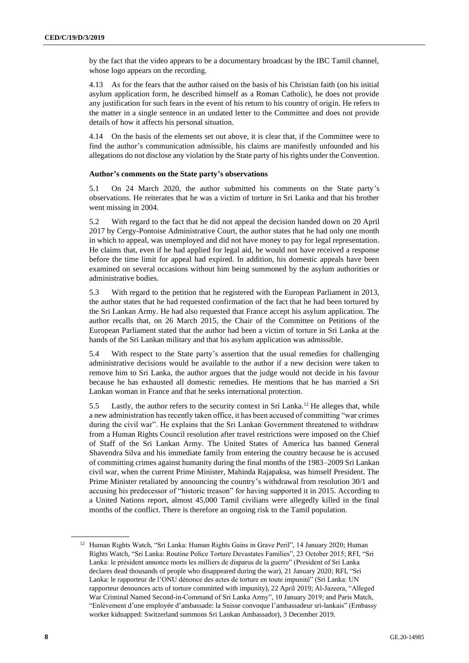by the fact that the video appears to be a documentary broadcast by the IBC Tamil channel, whose logo appears on the recording.

4.13 As for the fears that the author raised on the basis of his Christian faith (on his initial asylum application form, he described himself as a Roman Catholic), he does not provide any justification for such fears in the event of his return to his country of origin. He refers to the matter in a single sentence in an undated letter to the Committee and does not provide details of how it affects his personal situation.

4.14 On the basis of the elements set out above, it is clear that, if the Committee were to find the author's communication admissible, his claims are manifestly unfounded and his allegations do not disclose any violation by the State party of his rights under the Convention.

#### **Author's comments on the State party's observations**

5.1 On 24 March 2020, the author submitted his comments on the State party's observations. He reiterates that he was a victim of torture in Sri Lanka and that his brother went missing in 2004.

5.2 With regard to the fact that he did not appeal the decision handed down on 20 April 2017 by Cergy-Pontoise Administrative Court, the author states that he had only one month in which to appeal, was unemployed and did not have money to pay for legal representation. He claims that, even if he had applied for legal aid, he would not have received a response before the time limit for appeal had expired. In addition, his domestic appeals have been examined on several occasions without him being summoned by the asylum authorities or administrative bodies.

5.3 With regard to the petition that he registered with the European Parliament in 2013, the author states that he had requested confirmation of the fact that he had been tortured by the Sri Lankan Army. He had also requested that France accept his asylum application. The author recalls that, on 26 March 2015, the Chair of the Committee on Petitions of the European Parliament stated that the author had been a victim of torture in Sri Lanka at the hands of the Sri Lankan military and that his asylum application was admissible.

5.4 With respect to the State party's assertion that the usual remedies for challenging administrative decisions would be available to the author if a new decision were taken to remove him to Sri Lanka, the author argues that the judge would not decide in his favour because he has exhausted all domestic remedies. He mentions that he has married a Sri Lankan woman in France and that he seeks international protection.

5.5 Lastly, the author refers to the security context in Sri Lanka.<sup>12</sup> He alleges that, while a new administration has recently taken office, it has been accused of committing "war crimes during the civil war". He explains that the Sri Lankan Government threatened to withdraw from a Human Rights Council resolution after travel restrictions were imposed on the Chief of Staff of the Sri Lankan Army. The United States of America has banned General Shavendra Silva and his immediate family from entering the country because he is accused of committing crimes against humanity during the final months of the 1983–2009 Sri Lankan civil war, when the current Prime Minister, Mahinda Rajapaksa, was himself President. The Prime Minister retaliated by announcing the country's withdrawal from resolution 30/1 and accusing his predecessor of "historic treason" for having supported it in 2015. According to a United Nations report, almost 45,000 Tamil civilians were allegedly killed in the final months of the conflict. There is therefore an ongoing risk to the Tamil population.

<sup>&</sup>lt;sup>12</sup> Human Rights Watch, "Sri Lanka: Human Rights Gains in Grave Peril", 14 January 2020; Human Rights Watch, "Sri Lanka: Routine Police Torture Devastates Families", 23 October 2015; RFI, "Sri Lanka: le président annonce morts les milliers de disparus de la guerre" (President of Sri Lanka declares dead thousands of people who disappeared during the war), 21 January 2020; RFI, "Sri Lanka: le rapporteur de l'ONU dénonce des actes de torture en toute impunité" (Sri Lanka: UN rapporteur denounces acts of torture committed with impunity), 22 April 2019; Al-Jazeera, "Alleged War Criminal Named Second-in-Command of Sri Lanka Army", 10 January 2019; and Paris Match, "Enlèvement d'une employée d'ambassade: la Suisse convoque l'ambassadeur sri-lankais" (Embassy worker kidnapped: Switzerland summons Sri Lankan Ambassador), 3 December 2019.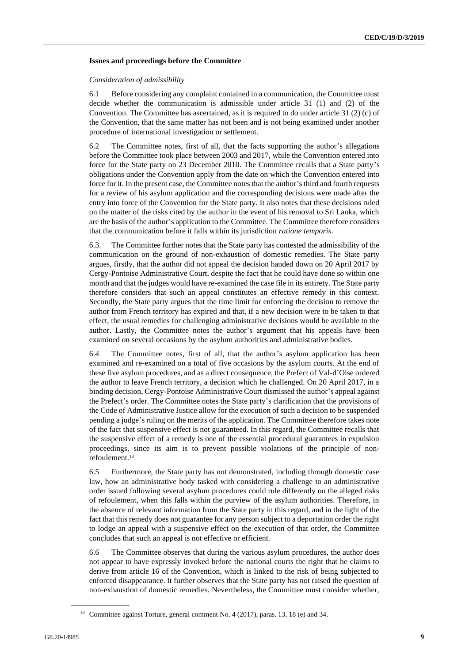#### **Issues and proceedings before the Committee**

#### *Consideration of admissibility*

6.1 Before considering any complaint contained in a communication, the Committee must decide whether the communication is admissible under article 31 (1) and (2) of the Convention. The Committee has ascertained, as it is required to do under article 31 (2) (c) of the Convention, that the same matter has not been and is not being examined under another procedure of international investigation or settlement.

6.2 The Committee notes, first of all, that the facts supporting the author's allegations before the Committee took place between 2003 and 2017, while the Convention entered into force for the State party on 23 December 2010. The Committee recalls that a State party's obligations under the Convention apply from the date on which the Convention entered into force for it. In the present case, the Committee notes that the author's third and fourth requests for a review of his asylum application and the corresponding decisions were made after the entry into force of the Convention for the State party. It also notes that these decisions ruled on the matter of the risks cited by the author in the event of his removal to Sri Lanka, which are the basis of the author's application to the Committee. The Committee therefore considers that the communication before it falls within its jurisdiction *ratione temporis*.

6.3. The Committee further notes that the State party has contested the admissibility of the communication on the ground of non-exhaustion of domestic remedies. The State party argues, firstly, that the author did not appeal the decision handed down on 20 April 2017 by Cergy-Pontoise Administrative Court, despite the fact that he could have done so within one month and that the judges would have re-examined the case file in its entirety. The State party therefore considers that such an appeal constitutes an effective remedy in this context. Secondly, the State party argues that the time limit for enforcing the decision to remove the author from French territory has expired and that, if a new decision were to be taken to that effect, the usual remedies for challenging administrative decisions would be available to the author. Lastly, the Committee notes the author's argument that his appeals have been examined on several occasions by the asylum authorities and administrative bodies.

6.4 The Committee notes, first of all, that the author's asylum application has been examined and re-examined on a total of five occasions by the asylum courts. At the end of these five asylum procedures, and as a direct consequence, the Prefect of Val-d'Oise ordered the author to leave French territory, a decision which he challenged. On 20 April 2017, in a binding decision, Cergy-Pontoise Administrative Court dismissed the author's appeal against the Prefect's order. The Committee notes the State party's clarification that the provisions of the Code of Administrative Justice allow for the execution of such a decision to be suspended pending a judge's ruling on the merits of the application. The Committee therefore takes note of the fact that suspensive effect is not guaranteed. In this regard, the Committee recalls that the suspensive effect of a remedy is one of the essential procedural guarantees in expulsion proceedings, since its aim is to prevent possible violations of the principle of nonrefoulement.<sup>13</sup>

6.5 Furthermore, the State party has not demonstrated, including through domestic case law, how an administrative body tasked with considering a challenge to an administrative order issued following several asylum procedures could rule differently on the alleged risks of refoulement, when this falls within the purview of the asylum authorities. Therefore, in the absence of relevant information from the State party in this regard, and in the light of the fact that this remedy does not guarantee for any person subject to a deportation order the right to lodge an appeal with a suspensive effect on the execution of that order, the Committee concludes that such an appeal is not effective or efficient.

6.6 The Committee observes that during the various asylum procedures, the author does not appear to have expressly invoked before the national courts the right that he claims to derive from article 16 of the Convention, which is linked to the risk of being subjected to enforced disappearance. It further observes that the State party has not raised the question of non-exhaustion of domestic remedies. Nevertheless, the Committee must consider whether,

<sup>&</sup>lt;sup>13</sup> Committee against Torture, general comment No. 4 (2017), paras. 13, 18 (e) and 34.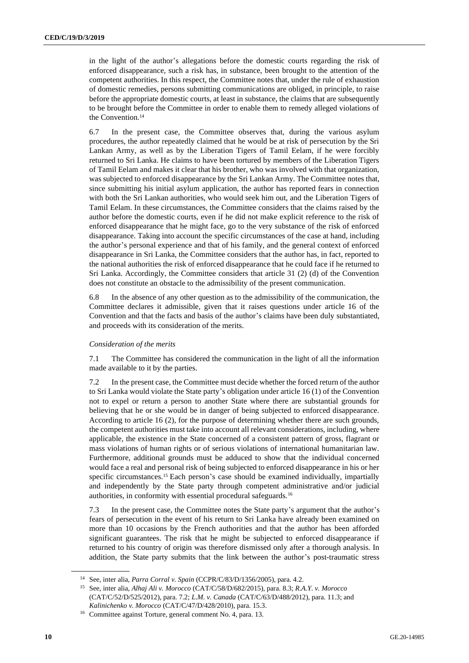in the light of the author's allegations before the domestic courts regarding the risk of enforced disappearance, such a risk has, in substance, been brought to the attention of the competent authorities. In this respect, the Committee notes that, under the rule of exhaustion of domestic remedies, persons submitting communications are obliged, in principle, to raise before the appropriate domestic courts, at least in substance, the claims that are subsequently to be brought before the Committee in order to enable them to remedy alleged violations of the Convention.<sup>14</sup>

6.7 In the present case, the Committee observes that, during the various asylum procedures, the author repeatedly claimed that he would be at risk of persecution by the Sri Lankan Army, as well as by the Liberation Tigers of Tamil Eelam, if he were forcibly returned to Sri Lanka. He claims to have been tortured by members of the Liberation Tigers of Tamil Eelam and makes it clear that his brother, who was involved with that organization, was subjected to enforced disappearance by the Sri Lankan Army. The Committee notes that, since submitting his initial asylum application, the author has reported fears in connection with both the Sri Lankan authorities, who would seek him out, and the Liberation Tigers of Tamil Eelam. In these circumstances, the Committee considers that the claims raised by the author before the domestic courts, even if he did not make explicit reference to the risk of enforced disappearance that he might face, go to the very substance of the risk of enforced disappearance. Taking into account the specific circumstances of the case at hand, including the author's personal experience and that of his family, and the general context of enforced disappearance in Sri Lanka, the Committee considers that the author has, in fact, reported to the national authorities the risk of enforced disappearance that he could face if he returned to Sri Lanka. Accordingly, the Committee considers that article 31 (2) (d) of the Convention does not constitute an obstacle to the admissibility of the present communication.

6.8 In the absence of any other question as to the admissibility of the communication, the Committee declares it admissible, given that it raises questions under article 16 of the Convention and that the facts and basis of the author's claims have been duly substantiated, and proceeds with its consideration of the merits.

#### *Consideration of the merits*

7.1 The Committee has considered the communication in the light of all the information made available to it by the parties.

7.2 In the present case, the Committee must decide whether the forced return of the author to Sri Lanka would violate the State party's obligation under article 16 (1) of the Convention not to expel or return a person to another State where there are substantial grounds for believing that he or she would be in danger of being subjected to enforced disappearance. According to article 16 (2), for the purpose of determining whether there are such grounds, the competent authorities must take into account all relevant considerations, including, where applicable, the existence in the State concerned of a consistent pattern of gross, flagrant or mass violations of human rights or of serious violations of international humanitarian law. Furthermore, additional grounds must be adduced to show that the individual concerned would face a real and personal risk of being subjected to enforced disappearance in his or her specific circumstances.<sup>15</sup> Each person's case should be examined individually, impartially and independently by the State party through competent administrative and/or judicial authorities, in conformity with essential procedural safeguards.<sup>16</sup>

7.3 In the present case, the Committee notes the State party's argument that the author's fears of persecution in the event of his return to Sri Lanka have already been examined on more than 10 occasions by the French authorities and that the author has been afforded significant guarantees. The risk that he might be subjected to enforced disappearance if returned to his country of origin was therefore dismissed only after a thorough analysis. In addition, the State party submits that the link between the author's post-traumatic stress

<sup>14</sup> See, inter alia, *Parra Corral v. Spain* (CCPR/C/83/D/1356/2005), para. 4.2.

<sup>15</sup> See, inter alia, *Alhaj Ali v. Morocco* (CAT/C/58/D/682/2015), para. 8.3; *R.A.Y. v. Morocco* (CAT/C/52/D/525/2012), para. 7.2; *L.M. v. Canada* (CAT/C/63/D/488/2012), para. 11.3; and *Kalinichenko v. Morocco* (CAT/C/47/D/428/2010), para. 15.3.

<sup>16</sup> Committee against Torture, general comment No. 4, para. 13.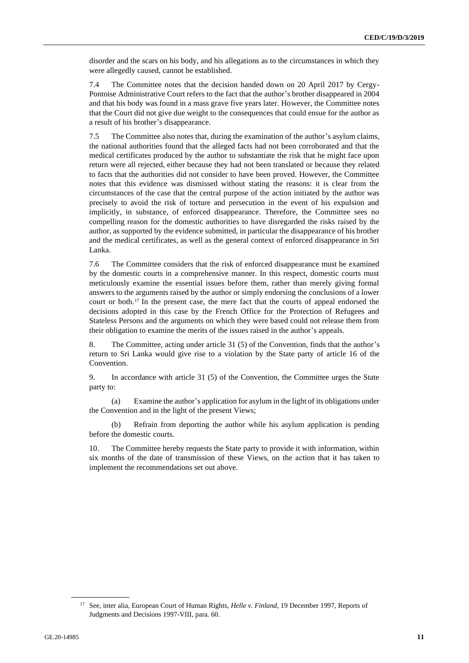disorder and the scars on his body, and his allegations as to the circumstances in which they were allegedly caused, cannot be established.

7.4 The Committee notes that the decision handed down on 20 April 2017 by Cergy-Pontoise Administrative Court refers to the fact that the author's brother disappeared in 2004 and that his body was found in a mass grave five years later. However, the Committee notes that the Court did not give due weight to the consequences that could ensue for the author as a result of his brother's disappearance.

7.5 The Committee also notes that, during the examination of the author's asylum claims, the national authorities found that the alleged facts had not been corroborated and that the medical certificates produced by the author to substantiate the risk that he might face upon return were all rejected, either because they had not been translated or because they related to facts that the authorities did not consider to have been proved. However, the Committee notes that this evidence was dismissed without stating the reasons: it is clear from the circumstances of the case that the central purpose of the action initiated by the author was precisely to avoid the risk of torture and persecution in the event of his expulsion and implicitly, in substance, of enforced disappearance. Therefore, the Committee sees no compelling reason for the domestic authorities to have disregarded the risks raised by the author, as supported by the evidence submitted, in particular the disappearance of his brother and the medical certificates, as well as the general context of enforced disappearance in Sri Lanka.

7.6 The Committee considers that the risk of enforced disappearance must be examined by the domestic courts in a comprehensive manner. In this respect, domestic courts must meticulously examine the essential issues before them, rather than merely giving formal answers to the arguments raised by the author or simply endorsing the conclusions of a lower court or both.<sup>17</sup> In the present case, the mere fact that the courts of appeal endorsed the decisions adopted in this case by the French Office for the Protection of Refugees and Stateless Persons and the arguments on which they were based could not release them from their obligation to examine the merits of the issues raised in the author's appeals.

8. The Committee, acting under article 31 (5) of the Convention, finds that the author's return to Sri Lanka would give rise to a violation by the State party of article 16 of the Convention.

9. In accordance with article 31 (5) of the Convention, the Committee urges the State party to:

(a) Examine the author's application for asylum in the light of its obligations under the Convention and in the light of the present Views;

(b) Refrain from deporting the author while his asylum application is pending before the domestic courts.

10. The Committee hereby requests the State party to provide it with information, within six months of the date of transmission of these Views, on the action that it has taken to implement the recommendations set out above.

<sup>&</sup>lt;sup>17</sup> See, inter alia, European Court of Human Rights, *Helle v. Finland*, 19 December 1997, Reports of Judgments and Decisions 1997-VIII, para. 60.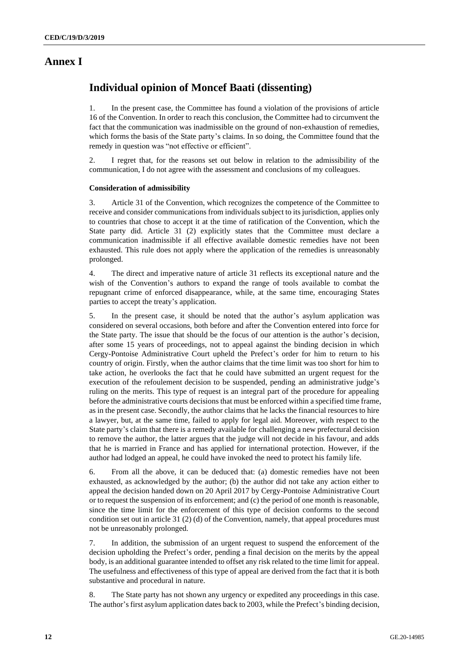### **Annex I**

## **Individual opinion of Moncef Baati (dissenting)**

1. In the present case, the Committee has found a violation of the provisions of article 16 of the Convention. In order to reach this conclusion, the Committee had to circumvent the fact that the communication was inadmissible on the ground of non-exhaustion of remedies, which forms the basis of the State party's claims. In so doing, the Committee found that the remedy in question was "not effective or efficient".

2. I regret that, for the reasons set out below in relation to the admissibility of the communication, I do not agree with the assessment and conclusions of my colleagues.

#### **Consideration of admissibility**

3. Article 31 of the Convention, which recognizes the competence of the Committee to receive and consider communications from individuals subject to its jurisdiction, applies only to countries that chose to accept it at the time of ratification of the Convention, which the State party did. Article 31 (2) explicitly states that the Committee must declare a communication inadmissible if all effective available domestic remedies have not been exhausted. This rule does not apply where the application of the remedies is unreasonably prolonged.

4. The direct and imperative nature of article 31 reflects its exceptional nature and the wish of the Convention's authors to expand the range of tools available to combat the repugnant crime of enforced disappearance, while, at the same time, encouraging States parties to accept the treaty's application.

5. In the present case, it should be noted that the author's asylum application was considered on several occasions, both before and after the Convention entered into force for the State party. The issue that should be the focus of our attention is the author's decision, after some 15 years of proceedings, not to appeal against the binding decision in which Cergy-Pontoise Administrative Court upheld the Prefect's order for him to return to his country of origin. Firstly, when the author claims that the time limit was too short for him to take action, he overlooks the fact that he could have submitted an urgent request for the execution of the refoulement decision to be suspended, pending an administrative judge's ruling on the merits. This type of request is an integral part of the procedure for appealing before the administrative courts decisions that must be enforced within a specified time frame, as in the present case. Secondly, the author claims that he lacks the financial resources to hire a lawyer, but, at the same time, failed to apply for legal aid. Moreover, with respect to the State party's claim that there is a remedy available for challenging a new prefectural decision to remove the author, the latter argues that the judge will not decide in his favour, and adds that he is married in France and has applied for international protection. However, if the author had lodged an appeal, he could have invoked the need to protect his family life.

6. From all the above, it can be deduced that: (a) domestic remedies have not been exhausted, as acknowledged by the author; (b) the author did not take any action either to appeal the decision handed down on 20 April 2017 by Cergy-Pontoise Administrative Court or to request the suspension of its enforcement; and (c) the period of one month is reasonable, since the time limit for the enforcement of this type of decision conforms to the second condition set out in article 31 (2) (d) of the Convention, namely, that appeal procedures must not be unreasonably prolonged.

7. In addition, the submission of an urgent request to suspend the enforcement of the decision upholding the Prefect's order, pending a final decision on the merits by the appeal body, is an additional guarantee intended to offset any risk related to the time limit for appeal. The usefulness and effectiveness of this type of appeal are derived from the fact that it is both substantive and procedural in nature.

8. The State party has not shown any urgency or expedited any proceedings in this case. The author's first asylum application dates back to 2003, while the Prefect's binding decision,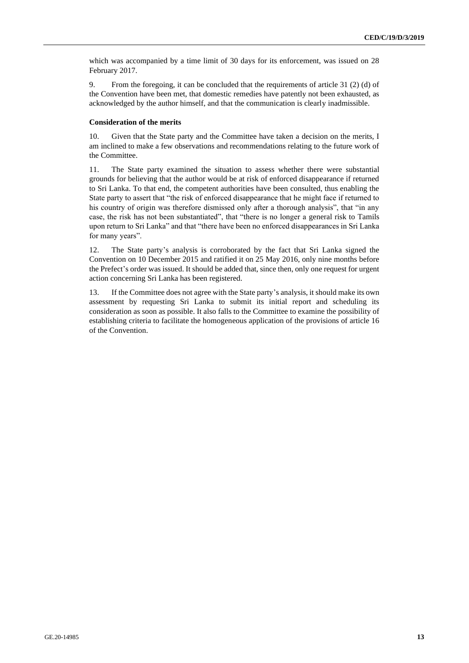which was accompanied by a time limit of 30 days for its enforcement, was issued on 28 February 2017.

9. From the foregoing, it can be concluded that the requirements of article 31 (2) (d) of the Convention have been met, that domestic remedies have patently not been exhausted, as acknowledged by the author himself, and that the communication is clearly inadmissible.

#### **Consideration of the merits**

10. Given that the State party and the Committee have taken a decision on the merits, I am inclined to make a few observations and recommendations relating to the future work of the Committee.

11. The State party examined the situation to assess whether there were substantial grounds for believing that the author would be at risk of enforced disappearance if returned to Sri Lanka. To that end, the competent authorities have been consulted, thus enabling the State party to assert that "the risk of enforced disappearance that he might face if returned to his country of origin was therefore dismissed only after a thorough analysis", that "in any case, the risk has not been substantiated", that "there is no longer a general risk to Tamils upon return to Sri Lanka" and that "there have been no enforced disappearances in Sri Lanka for many years".

12. The State party's analysis is corroborated by the fact that Sri Lanka signed the Convention on 10 December 2015 and ratified it on 25 May 2016, only nine months before the Prefect's order was issued. It should be added that, since then, only one request for urgent action concerning Sri Lanka has been registered.

13. If the Committee does not agree with the State party's analysis, it should make its own assessment by requesting Sri Lanka to submit its initial report and scheduling its consideration as soon as possible. It also falls to the Committee to examine the possibility of establishing criteria to facilitate the homogeneous application of the provisions of article 16 of the Convention.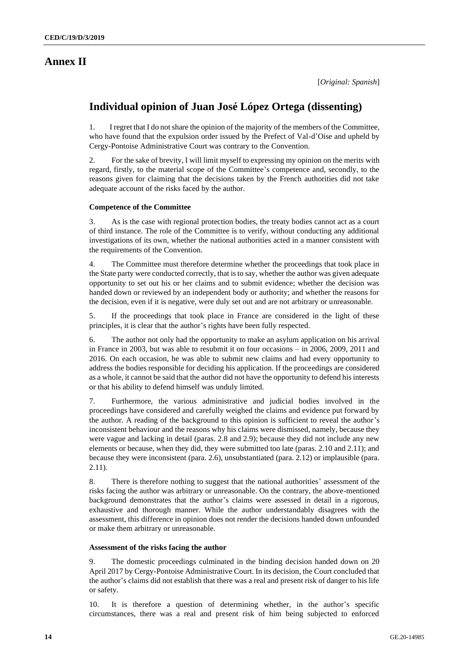## **Annex II**

## **Individual opinion of Juan José López Ortega (dissenting)**

1. I regret that I do not share the opinion of the majority of the members of the Committee, who have found that the expulsion order issued by the Prefect of Val-d'Oise and upheld by Cergy-Pontoise Administrative Court was contrary to the Convention.

2. For the sake of brevity, I will limit myself to expressing my opinion on the merits with regard, firstly, to the material scope of the Committee's competence and, secondly, to the reasons given for claiming that the decisions taken by the French authorities did not take adequate account of the risks faced by the author.

#### **Competence of the Committee**

3. As is the case with regional protection bodies, the treaty bodies cannot act as a court of third instance. The role of the Committee is to verify, without conducting any additional investigations of its own, whether the national authorities acted in a manner consistent with the requirements of the Convention.

4. The Committee must therefore determine whether the proceedings that took place in the State party were conducted correctly, that is to say, whether the author was given adequate opportunity to set out his or her claims and to submit evidence; whether the decision was handed down or reviewed by an independent body or authority; and whether the reasons for the decision, even if it is negative, were duly set out and are not arbitrary or unreasonable.

5. If the proceedings that took place in France are considered in the light of these principles, it is clear that the author's rights have been fully respected.

6. The author not only had the opportunity to make an asylum application on his arrival in France in 2003, but was able to resubmit it on four occasions – in 2006, 2009, 2011 and 2016. On each occasion, he was able to submit new claims and had every opportunity to address the bodies responsible for deciding his application. If the proceedings are considered as a whole, it cannot be said that the author did not have the opportunity to defend his interests or that his ability to defend himself was unduly limited.

7. Furthermore, the various administrative and judicial bodies involved in the proceedings have considered and carefully weighed the claims and evidence put forward by the author. A reading of the background to this opinion is sufficient to reveal the author's inconsistent behaviour and the reasons why his claims were dismissed, namely, because they were vague and lacking in detail (paras. 2.8 and 2.9); because they did not include any new elements or because, when they did, they were submitted too late (paras. 2.10 and 2.11); and because they were inconsistent (para. 2.6), unsubstantiated (para. 2.12) or implausible (para. 2.11).

8. There is therefore nothing to suggest that the national authorities' assessment of the risks facing the author was arbitrary or unreasonable. On the contrary, the above-mentioned background demonstrates that the author's claims were assessed in detail in a rigorous, exhaustive and thorough manner. While the author understandably disagrees with the assessment, this difference in opinion does not render the decisions handed down unfounded or make them arbitrary or unreasonable.

#### **Assessment of the risks facing the author**

9. The domestic proceedings culminated in the binding decision handed down on 20 April 2017 by Cergy-Pontoise Administrative Court. In its decision, the Court concluded that the author's claims did not establish that there was a real and present risk of danger to his life or safety.

10. It is therefore a question of determining whether, in the author's specific circumstances, there was a real and present risk of him being subjected to enforced